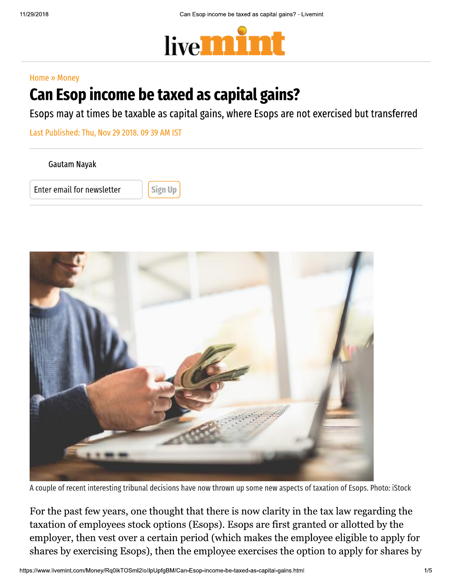

#### Home » Money

# Can Esop income be taxed as capital gains?

Esops may at times be taxable as capital gains, where Esops are not exercised but transferred

Last Published: Thu, Nov 29 2018. 09 39 AM IST

Gautam Nayak

Enter email for newsletter  $\|\cdot\|$  Sign Up



A couple of recent interesting tribunal decisions have now thrown up some new aspects of taxation of Esops. Photo: iStock

taxation of employees stock options<br>employer, then vest over a certain po<br>shares by exercising Esops), then the<br>https://www.livemint.com/Money/Rq0ikTOSml2lollpUpfgBM/Can For the past few years, one thought that there is now clarity in the tax law regarding the taxation of employees stock options (Esops). Esops are first granted or allotted by the employer, then vest over a certain period (which makes the employee eligible to apply for shares by exercising Esops), then the employee exercises the option to apply for shares by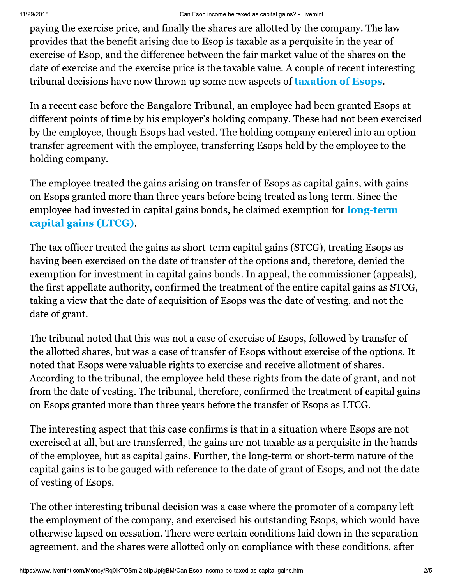#### $U18$  Can Es Can Esop income be taxed as capital gains? - Livemint

paying the exercise price, and finally the shares are allotted by the company. The law provides that the benefit arising due to Esop is taxable as a perquisite in the year of exercise of Esop, and the difference between the fair market value of the shares on the date of exercise and the exercise price is the taxable value. A couple of recent interesting tribunal decisions have now thrown up some new aspects of **taxation of Esops.** 

In a recent case before the Bangalore Tribunal, an employee had been granted Esops at different points of time by his employer's holding company. These had not been exercised by the employee, though Esops had vested. The holding company entered into an option transfer agreement with the employee, transferring Esops held by the employee to the holding company.

The employee treated the gains arising on transfer of Esops as capital gains, with gains on Esops granted more than three years before being treated as long term. Since the employee had invested in capital gains bonds, he claimed exemption for **long-term** capital gains (LTCG).

The tax officer treated the gains as short-term capital gains (STCG), treating Esops as having been exercised on the date of transfer of the options and, therefore, denied the exemption for investment in capital gains bonds. In appeal, the commissioner (appeals), the first appellate authority, confirmed the treatment of the entire capital gains as STCG, taking a view that the date of acquisition of Esops was the date of vesting, and not the date of grant.

The tribunal noted that this was not a case of exercise of Esops, followed by transfer of the allotted shares, but was a case of transfer of Esops without exercise of the options. It noted that Esops were valuable rights to exercise and receive allotment of shares. According to the tribunal, the employee held these rights from the date of grant, and not from the date of vesting. The tribunal, therefore, confirmed the treatment of capital gains on Esops granted more than three years before the transfer of Esops as LTCG.

The interesting aspect that this case confirms is that in a situation where Esops are not exercised at all, but are transferred, the gains are not taxable as a perquisite in the hands of the employee, but as capital gains. Further, the long-term or short-term nature of the capital gains is to be gauged with reference to the date of grant of Esops, and not the date of vesting of Esops.

the employment of the company, an<br>otherwise lapsed on cessation. There<br>agreement, and the shares were allo<br>https://www.livemint.com/Money/Rq0ikTOSml2lollpUpfgBM/Can The other interesting tribunal decision was a case where the promoter of a company left the employment of the company, and exercised his outstanding Esops, which would have otherwise lapsed on cessation. There were certain conditions laid down in the separation agreement, and the shares were allotted only on compliance with these conditions, after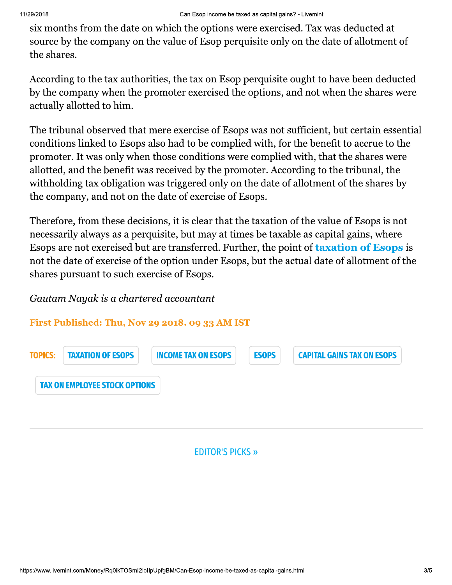six months from the date on which the options were exercised. Tax was deducted at source by the company on the value of Esop perquisite only on the date of allotment of the shares.

According to the tax authorities, the tax on Esop perquisite ought to have been deducted by the company when the promoter exercised the options, and not when the shares were actually allotted to him.

The tribunal observed that mere exercise of Esops was not sufficient, but certain essential conditions linked to Esops also had to be complied with, for the benefit to accrue to the promoter. It was only when those conditions were complied with, that the shares were allotted, and the benefit was received by the promoter. According to the tribunal, the with holding tax obligation was triggered only on the date of allotment of the shares by the company, and not on the date of exercise of Esops.

Therefore, from these decisions, it is clear that the taxation of the value of Esops is not necessarily always as a perquisite, but may at times be taxable as capital gains, where Esops are not exercised but are transferred. Further, the point of taxation of Esops is not the date of exercise of the option under Esops, but the actual date of allotment of the shares pursuant to such exercise of Esops.

#### Gautam Nayak is a chartered accountant

#### First Published: Thu, Nov 29 2018. 09 33 AM IST



#### **EDITOR'S PICKS »**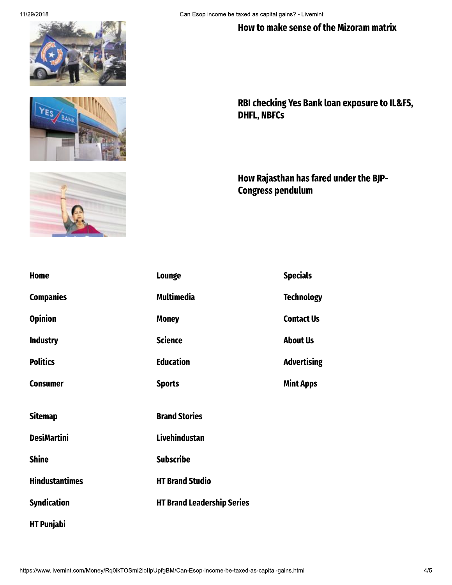### How to make sense of the Mizoram matrix





RBI checking Yes Bank loan exposure to IL&FS, DHFL, NBFCs

How Rajasthan has fared under the BJP-Congress pendulum

|                                                                                                      | <b>Home</b>           | <b>Lounge</b>                     | <b>Specials</b>    |
|------------------------------------------------------------------------------------------------------|-----------------------|-----------------------------------|--------------------|
|                                                                                                      | <b>Companies</b>      | Multimedia                        | <b>Technology</b>  |
|                                                                                                      | <b>Opinion</b>        | <b>Money</b>                      | <b>Contact Us</b>  |
|                                                                                                      | <b>Industry</b>       | <b>Science</b>                    | <b>About Us</b>    |
|                                                                                                      | <b>Politics</b>       | <b>Education</b>                  | <b>Advertising</b> |
|                                                                                                      | <b>Consumer</b>       | <b>Sports</b>                     | <b>Mint Apps</b>   |
|                                                                                                      |                       |                                   |                    |
|                                                                                                      | <b>Sitemap</b>        | <b>Brand Stories</b>              |                    |
|                                                                                                      | <b>DesiMartini</b>    | Livehindustan                     |                    |
|                                                                                                      | <b>Shine</b>          | <b>Subscribe</b>                  |                    |
|                                                                                                      | <b>Hindustantimes</b> | <b>HT Brand Studio</b>            |                    |
|                                                                                                      | <b>Syndication</b>    | <b>HT Brand Leadership Series</b> |                    |
|                                                                                                      | <b>HT Punjabi</b>     |                                   |                    |
|                                                                                                      |                       |                                   |                    |
| https://www.livemint.com/Money/Rq0ikTOSml2lollpUpfgBM/Can-Esop-income-be-taxed-as-capital-gains.html |                       |                                   |                    |
|                                                                                                      |                       |                                   |                    |
|                                                                                                      |                       |                                   |                    |
|                                                                                                      |                       |                                   |                    |
|                                                                                                      |                       |                                   |                    |
|                                                                                                      |                       |                                   |                    |